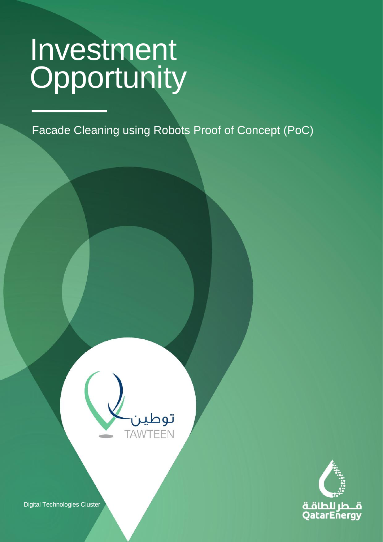CLASSIFICATION: C2 - CONFIDENTIAL

Facade Cleaning using Robots Proof of Concept (PoC)





Digital Technologies Cluster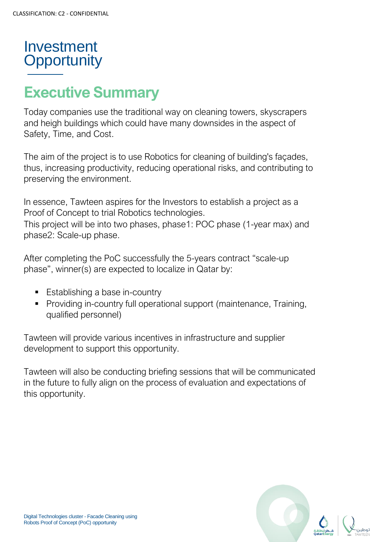

# **Executive Summary**

Today companies use the traditional way on cleaning towers, skyscrapers and heigh buildings which could have many downsides in the aspect of Safety, Time, and Cost.

The aim of the project is to use Robotics for cleaning of building's façades, thus, increasing productivity, reducing operational risks, and contributing to preserving the environment.

In essence, Tawteen aspires for the Investors to establish a project as a Proof of Concept to trial Robotics technologies. This project will be into two phases, phase1: POC phase (1-year max) and phase2: Scale-up phase.

After completing the PoC successfully the 5-years contract "scale-up phase", winner(s) are expected to localize in Qatar by:

- Establishing a base in-country
- Providing in-country full operational support (maintenance, Training, qualified personnel)

Tawteen will provide various incentives in infrastructure and supplier development to support this opportunity.

Tawteen will also be conducting briefing sessions that will be communicated in the future to fully align on the process of evaluation and expectations of this opportunity.

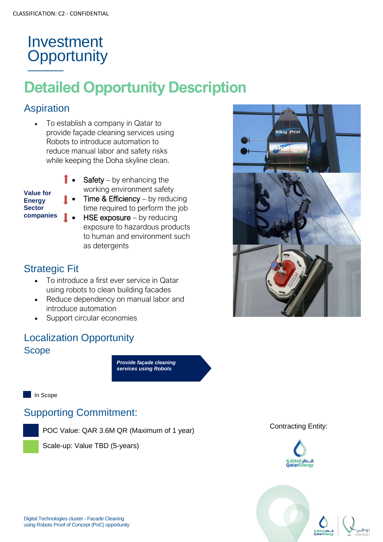# **Detailed Opportunity Description**

#### Aspiration

• To establish a company in Qatar to provide façade cleaning services using Robots to introduce automation to reduce manual labor and safety risks while keeping the Doha skyline clean.

| <b>Value for</b> |
|------------------|
| <b>Energy</b>    |
| <b>Sector</b>    |
| companies        |

- **Safety** by enhancing the working environment safety **Time & Efficiency** – by reducing
- time required to perform the job
- $HSE$  exposure by reducing exposure to hazardous products to human and environment such as detergents

#### Strategic Fit

- To introduce a first ever service in Qatar using robots to clean building facades
- Reduce dependency on manual labor and introduce automation
- Support circular economies

#### Localization Opportunity Scope

*Provide façade cleaning services using Robots*

In Scope

#### Supporting Commitment:

POC Value: QAR 3.6M QR (Maximum of 1 year)





#### Contracting Entity:



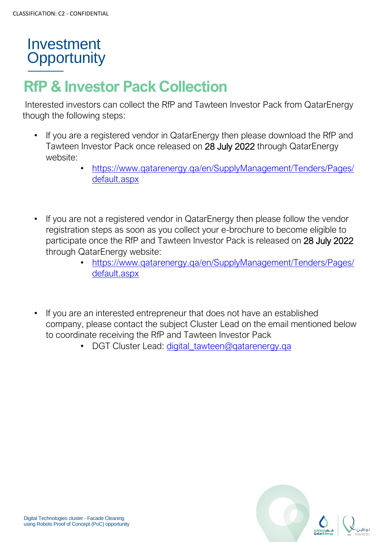# **RfP & Investor Pack Collection**

Interested investors can collect the RfP and Tawteen Investor Pack from QatarEnergy though the following steps:

- If you are a registered vendor in QatarEnergy then please download the RfP and Tawteen Investor Pack once released on 28 July 2022 through QatarEnergy website:
	- [https://www.qatarenergy.qa/en/SupplyManagement/Tenders/Pages/](https://www.qatarenergy.qa/en/SupplyManagement/Tenders/Pages/default.aspx) [default.aspx](https://www.qatarenergy.qa/en/SupplyManagement/Tenders/Pages/default.aspx)
- If you are not a registered vendor in QatarEnergy then please follow the vendor registration steps as soon as you collect your e-brochure to become eligible to participate once the RfP and Tawteen Investor Pack is released on 28 July 2022 through QatarEnergy website:
	- [https://www.qatarenergy.qa/en/SupplyManagement/Tenders/Pages/](https://www.qatarenergy.qa/en/SupplyManagement/Tenders/Pages/default.aspx) [default.aspx](https://www.qatarenergy.qa/en/SupplyManagement/Tenders/Pages/default.aspx)
- If you are an interested entrepreneur that does not have an established company, please contact the subject Cluster Lead on the email mentioned below to coordinate receiving the RfP and Tawteen Investor Pack
	- DGT Cluster Lead: [digital\\_tawteen@qatarenergy.qa](mailto:am_alemadi@qatarenergy.qa)